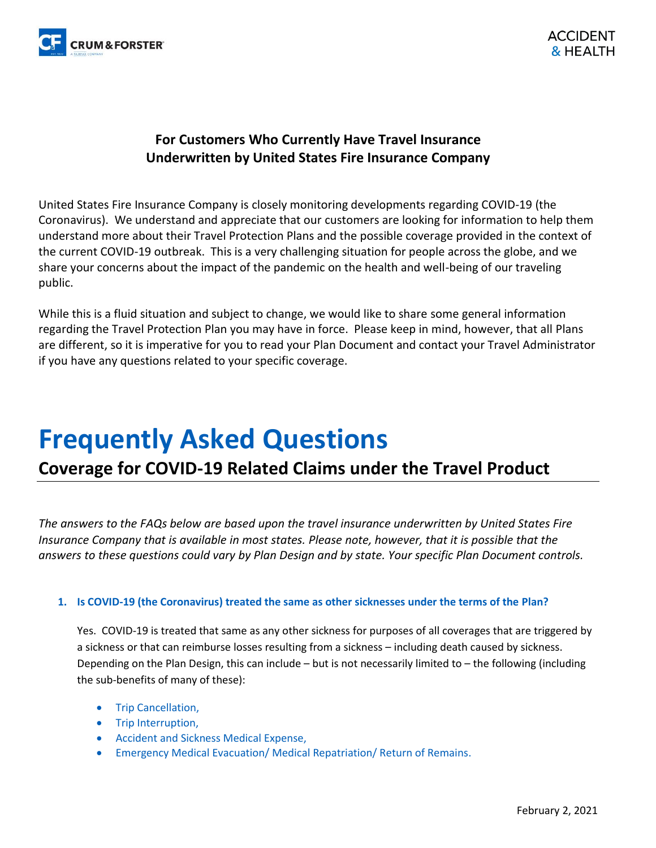

### **For Customers Who Currently Have Travel Insurance Underwritten by United States Fire Insurance Company**

United States Fire Insurance Company is closely monitoring developments regarding COVID-19 (the Coronavirus). We understand and appreciate that our customers are looking for information to help them understand more about their Travel Protection Plans and the possible coverage provided in the context of the current COVID-19 outbreak. This is a very challenging situation for people across the globe, and we share your concerns about the impact of the pandemic on the health and well-being of our traveling public.

While this is a fluid situation and subject to change, we would like to share some general information regarding the Travel Protection Plan you may have in force. Please keep in mind, however, that all Plans are different, so it is imperative for you to read your Plan Document and contact your Travel Administrator if you have any questions related to your specific coverage.

# **Frequently Asked Questions**

## **Coverage for COVID-19 Related Claims under the Travel Product**

*The answers to the FAQs below are based upon the travel insurance underwritten by United States Fire Insurance Company that is available in most states. Please note, however, that it is possible that the answers to these questions could vary by Plan Design and by state. Your specific Plan Document controls.*

#### **1. Is COVID-19 (the Coronavirus) treated the same as other sicknesses under the terms of the Plan?**

Yes. COVID-19 is treated that same as any other sickness for purposes of all coverages that are triggered by a sickness or that can reimburse losses resulting from a sickness – including death caused by sickness. Depending on the Plan Design, this can include – but is not necessarily limited to – the following (including the sub-benefits of many of these):

- Trip Cancellation,
- Trip Interruption,
- Accident and Sickness Medical Expense,
- Emergency Medical Evacuation/ Medical Repatriation/ Return of Remains.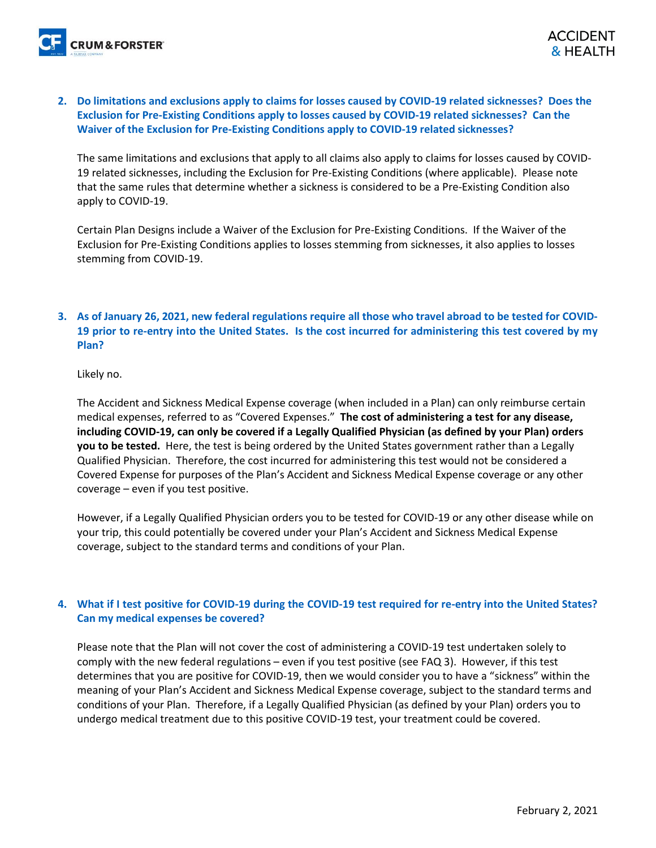**2. Do limitations and exclusions apply to claims for losses caused by COVID-19 related sicknesses? Does the Exclusion for Pre-Existing Conditions apply to losses caused by COVID-19 related sicknesses? Can the Waiver of the Exclusion for Pre-Existing Conditions apply to COVID-19 related sicknesses?**

The same limitations and exclusions that apply to all claims also apply to claims for losses caused by COVID-19 related sicknesses, including the Exclusion for Pre-Existing Conditions (where applicable). Please note that the same rules that determine whether a sickness is considered to be a Pre-Existing Condition also apply to COVID-19.

Certain Plan Designs include a Waiver of the Exclusion for Pre-Existing Conditions. If the Waiver of the Exclusion for Pre-Existing Conditions applies to losses stemming from sicknesses, it also applies to losses stemming from COVID-19.

#### **3. As of January 26, 2021, new federal regulations require all those who travel abroad to be tested for COVID-19 prior to re-entry into the United States. Is the cost incurred for administering this test covered by my Plan?**

Likely no.

The Accident and Sickness Medical Expense coverage (when included in a Plan) can only reimburse certain medical expenses, referred to as "Covered Expenses." **The cost of administering a test for any disease, including COVID-19, can only be covered if a Legally Qualified Physician (as defined by your Plan) orders you to be tested.** Here, the test is being ordered by the United States government rather than a Legally Qualified Physician. Therefore, the cost incurred for administering this test would not be considered a Covered Expense for purposes of the Plan's Accident and Sickness Medical Expense coverage or any other coverage – even if you test positive.

However, if a Legally Qualified Physician orders you to be tested for COVID-19 or any other disease while on your trip, this could potentially be covered under your Plan's Accident and Sickness Medical Expense coverage, subject to the standard terms and conditions of your Plan.

#### **4. What if I test positive for COVID-19 during the COVID-19 test required for re-entry into the United States? Can my medical expenses be covered?**

Please note that the Plan will not cover the cost of administering a COVID-19 test undertaken solely to comply with the new federal regulations – even if you test positive (see FAQ 3). However, if this test determines that you are positive for COVID-19, then we would consider you to have a "sickness" within the meaning of your Plan's Accident and Sickness Medical Expense coverage, subject to the standard terms and conditions of your Plan. Therefore, if a Legally Qualified Physician (as defined by your Plan) orders you to undergo medical treatment due to this positive COVID-19 test, your treatment could be covered.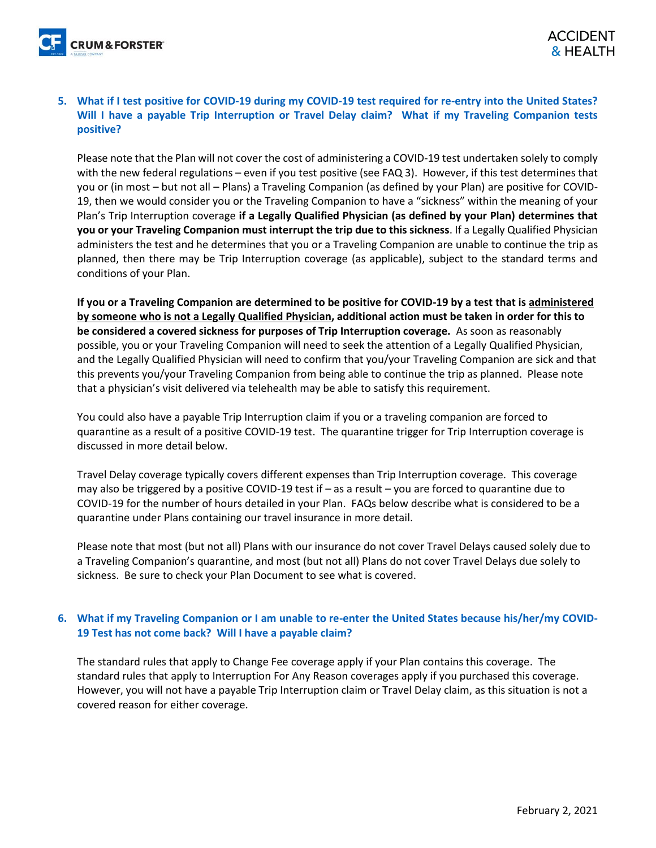#### **5. What if I test positive for COVID-19 during my COVID-19 test required for re-entry into the United States? Will I have a payable Trip Interruption or Travel Delay claim? What if my Traveling Companion tests positive?**

Please note that the Plan will not cover the cost of administering a COVID-19 test undertaken solely to comply with the new federal regulations – even if you test positive (see FAQ 3). However, if this test determines that you or (in most – but not all – Plans) a Traveling Companion (as defined by your Plan) are positive for COVID-19, then we would consider you or the Traveling Companion to have a "sickness" within the meaning of your Plan's Trip Interruption coverage **if a Legally Qualified Physician (as defined by your Plan) determines that you or your Traveling Companion must interrupt the trip due to this sickness**. If a Legally Qualified Physician administers the test and he determines that you or a Traveling Companion are unable to continue the trip as planned, then there may be Trip Interruption coverage (as applicable), subject to the standard terms and conditions of your Plan.

**If you or a Traveling Companion are determined to be positive for COVID-19 by a test that is administered by someone who is not a Legally Qualified Physician, additional action must be taken in order for this to be considered a covered sickness for purposes of Trip Interruption coverage.** As soon as reasonably possible, you or your Traveling Companion will need to seek the attention of a Legally Qualified Physician, and the Legally Qualified Physician will need to confirm that you/your Traveling Companion are sick and that this prevents you/your Traveling Companion from being able to continue the trip as planned. Please note that a physician's visit delivered via telehealth may be able to satisfy this requirement.

You could also have a payable Trip Interruption claim if you or a traveling companion are forced to quarantine as a result of a positive COVID-19 test. The quarantine trigger for Trip Interruption coverage is discussed in more detail below.

Travel Delay coverage typically covers different expenses than Trip Interruption coverage. This coverage may also be triggered by a positive COVID-19 test if – as a result – you are forced to quarantine due to COVID-19 for the number of hours detailed in your Plan. FAQs below describe what is considered to be a quarantine under Plans containing our travel insurance in more detail.

Please note that most (but not all) Plans with our insurance do not cover Travel Delays caused solely due to a Traveling Companion's quarantine, and most (but not all) Plans do not cover Travel Delays due solely to sickness. Be sure to check your Plan Document to see what is covered.

#### **6. What if my Traveling Companion or I am unable to re-enter the United States because his/her/my COVID-19 Test has not come back? Will I have a payable claim?**

The standard rules that apply to Change Fee coverage apply if your Plan contains this coverage. The standard rules that apply to Interruption For Any Reason coverages apply if you purchased this coverage. However, you will not have a payable Trip Interruption claim or Travel Delay claim, as this situation is not a covered reason for either coverage.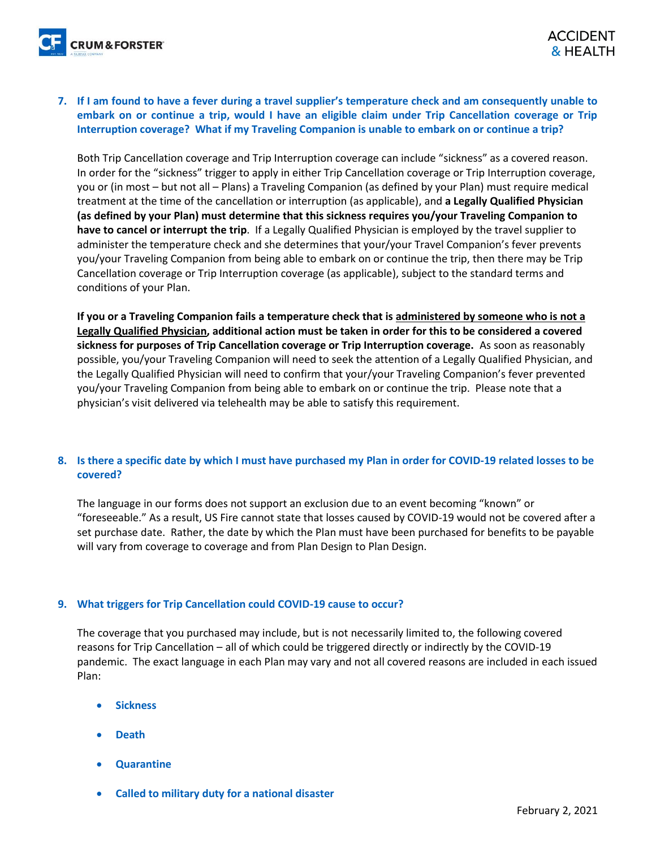**7. If I am found to have a fever during a travel supplier's temperature check and am consequently unable to embark on or continue a trip, would I have an eligible claim under Trip Cancellation coverage or Trip Interruption coverage? What if my Traveling Companion is unable to embark on or continue a trip?** 

Both Trip Cancellation coverage and Trip Interruption coverage can include "sickness" as a covered reason. In order for the "sickness" trigger to apply in either Trip Cancellation coverage or Trip Interruption coverage, you or (in most – but not all – Plans) a Traveling Companion (as defined by your Plan) must require medical treatment at the time of the cancellation or interruption (as applicable), and **a Legally Qualified Physician (as defined by your Plan) must determine that this sickness requires you/your Traveling Companion to have to cancel or interrupt the trip**. If a Legally Qualified Physician is employed by the travel supplier to administer the temperature check and she determines that your/your Travel Companion's fever prevents you/your Traveling Companion from being able to embark on or continue the trip, then there may be Trip Cancellation coverage or Trip Interruption coverage (as applicable), subject to the standard terms and conditions of your Plan.

**If you or a Traveling Companion fails a temperature check that is administered by someone who is not a Legally Qualified Physician, additional action must be taken in order for this to be considered a covered sickness for purposes of Trip Cancellation coverage or Trip Interruption coverage.** As soon as reasonably possible, you/your Traveling Companion will need to seek the attention of a Legally Qualified Physician, and the Legally Qualified Physician will need to confirm that your/your Traveling Companion's fever prevented you/your Traveling Companion from being able to embark on or continue the trip. Please note that a physician's visit delivered via telehealth may be able to satisfy this requirement.

#### **8. Is there a specific date by which I must have purchased my Plan in order for COVID-19 related losses to be covered?**

The language in our forms does not support an exclusion due to an event becoming "known" or "foreseeable." As a result, US Fire cannot state that losses caused by COVID-19 would not be covered after a set purchase date. Rather, the date by which the Plan must have been purchased for benefits to be payable will vary from coverage to coverage and from Plan Design to Plan Design.

#### **9. What triggers for Trip Cancellation could COVID-19 cause to occur?**

The coverage that you purchased may include, but is not necessarily limited to, the following covered reasons for Trip Cancellation – all of which could be triggered directly or indirectly by the COVID-19 pandemic. The exact language in each Plan may vary and not all covered reasons are included in each issued Plan:

- **Sickness**
- **Death**
- **Quarantine**
- **Called to military duty for a national disaster**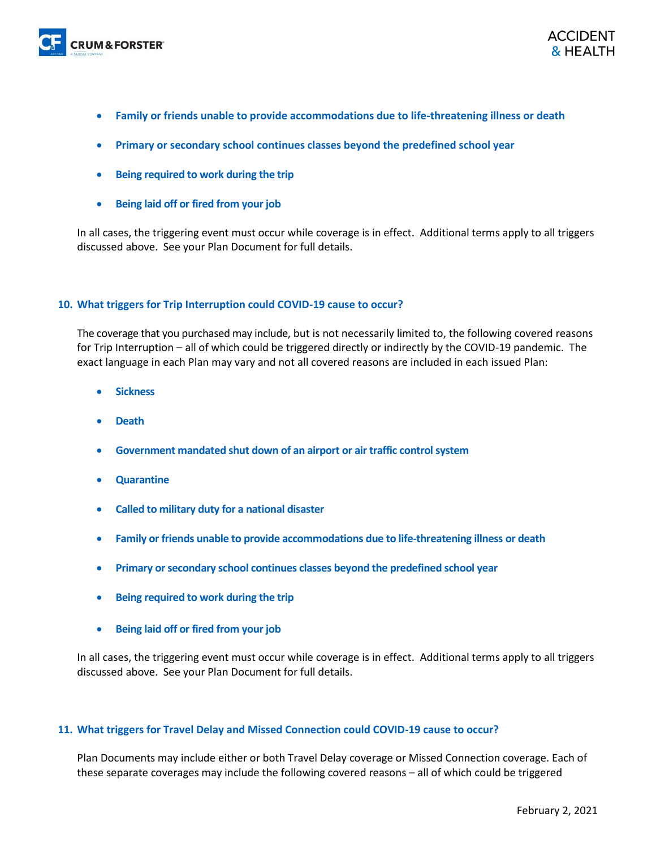

- **Family or friends unable to provide accommodations due to life-threatening illness or death**
- **Primary or secondary school continues classes beyond the predefined school year**
- **Being required to work during the trip**
- **Being laid off or fired from your job**

In all cases, the triggering event must occur while coverage is in effect. Additional terms apply to all triggers discussed above. See your Plan Document for full details.

#### **10. What triggers for Trip Interruption could COVID-19 cause to occur?**

The coverage that you purchased may include, but is not necessarily limited to, the following covered reasons for Trip Interruption – all of which could be triggered directly or indirectly by the COVID-19 pandemic. The exact language in each Plan may vary and not all covered reasons are included in each issued Plan:

- **Sickness**
- **Death**
- **Government mandated shut down of an airport or air traffic control system**
- **Quarantine**
- **Called to military duty for a national disaster**
- **Family or friends unable to provide accommodations due to life-threatening illness or death**
- **Primary or secondary school continues classes beyond the predefined school year**
- **Being required to work during the trip**
- **Being laid off or fired from your job**

In all cases, the triggering event must occur while coverage is in effect. Additional terms apply to all triggers discussed above. See your Plan Document for full details.

#### **11. What triggers for Travel Delay and Missed Connection could COVID-19 cause to occur?**

Plan Documents may include either or both Travel Delay coverage or Missed Connection coverage. Each of these separate coverages may include the following covered reasons – all of which could be triggered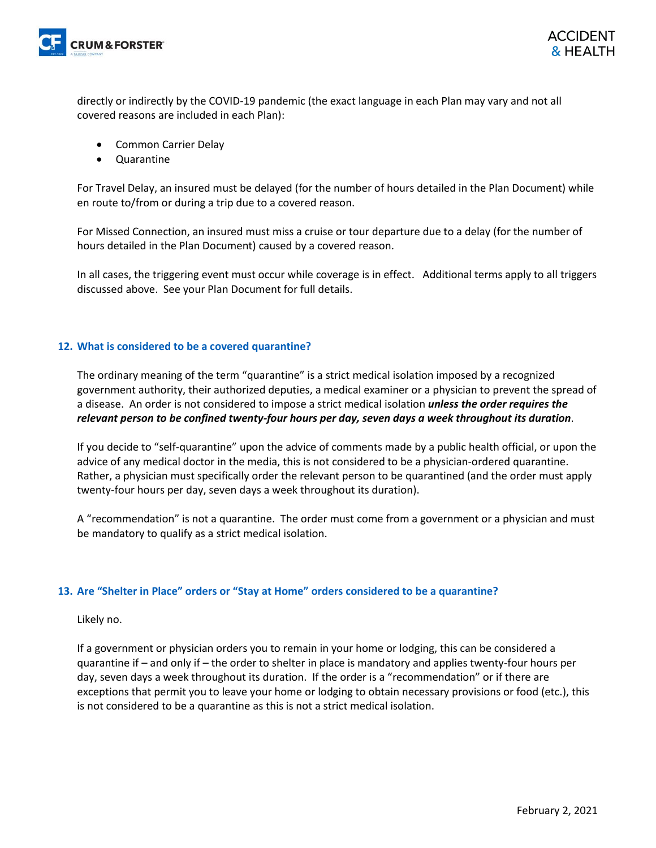

directly or indirectly by the COVID-19 pandemic (the exact language in each Plan may vary and not all covered reasons are included in each Plan):

- Common Carrier Delay
- Quarantine

For Travel Delay, an insured must be delayed (for the number of hours detailed in the Plan Document) while en route to/from or during a trip due to a covered reason.

For Missed Connection, an insured must miss a cruise or tour departure due to a delay (for the number of hours detailed in the Plan Document) caused by a covered reason.

In all cases, the triggering event must occur while coverage is in effect. Additional terms apply to all triggers discussed above. See your Plan Document for full details.

#### **12. What is considered to be a covered quarantine?**

The ordinary meaning of the term "quarantine" is a strict medical isolation imposed by a recognized government authority, their authorized deputies, a medical examiner or a physician to prevent the spread of a disease. An order is not considered to impose a strict medical isolation *unless the order requires the relevant person to be confined twenty-four hours per day, seven days a week throughout its duration*.

If you decide to "self-quarantine" upon the advice of comments made by a public health official, or upon the advice of any medical doctor in the media, this is not considered to be a physician-ordered quarantine. Rather, a physician must specifically order the relevant person to be quarantined (and the order must apply twenty-four hours per day, seven days a week throughout its duration).

A "recommendation" is not a quarantine. The order must come from a government or a physician and must be mandatory to qualify as a strict medical isolation.

#### **13. Are "Shelter in Place" orders or "Stay at Home" orders considered to be a quarantine?**

Likely no.

If a government or physician orders you to remain in your home or lodging, this can be considered a quarantine if – and only if – the order to shelter in place is mandatory and applies twenty-four hours per day, seven days a week throughout its duration. If the order is a "recommendation" or if there are exceptions that permit you to leave your home or lodging to obtain necessary provisions or food (etc.), this is not considered to be a quarantine as this is not a strict medical isolation.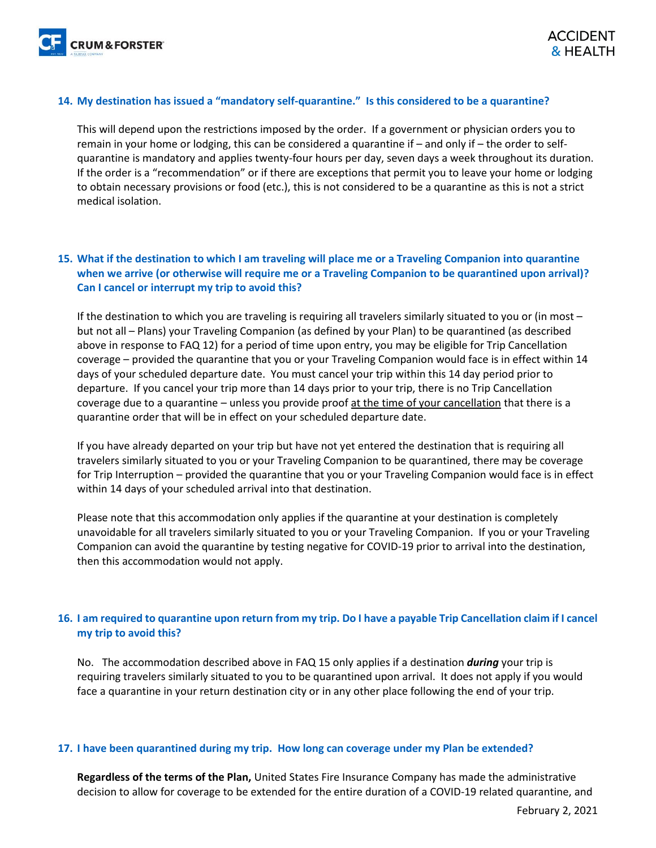#### **14. My destination has issued a "mandatory self-quarantine." Is this considered to be a quarantine?**

This will depend upon the restrictions imposed by the order. If a government or physician orders you to remain in your home or lodging, this can be considered a quarantine if – and only if – the order to selfquarantine is mandatory and applies twenty-four hours per day, seven days a week throughout its duration. If the order is a "recommendation" or if there are exceptions that permit you to leave your home or lodging to obtain necessary provisions or food (etc.), this is not considered to be a quarantine as this is not a strict medical isolation.

#### **15. What if the destination to which I am traveling will place me or a Traveling Companion into quarantine when we arrive (or otherwise will require me or a Traveling Companion to be quarantined upon arrival)? Can I cancel or interrupt my trip to avoid this?**

If the destination to which you are traveling is requiring all travelers similarly situated to you or (in most – but not all – Plans) your Traveling Companion (as defined by your Plan) to be quarantined (as described above in response to FAQ 12) for a period of time upon entry, you may be eligible for Trip Cancellation coverage – provided the quarantine that you or your Traveling Companion would face is in effect within 14 days of your scheduled departure date. You must cancel your trip within this 14 day period prior to departure. If you cancel your trip more than 14 days prior to your trip, there is no Trip Cancellation coverage due to a quarantine – unless you provide proof at the time of your cancellation that there is a quarantine order that will be in effect on your scheduled departure date.

If you have already departed on your trip but have not yet entered the destination that is requiring all travelers similarly situated to you or your Traveling Companion to be quarantined, there may be coverage for Trip Interruption – provided the quarantine that you or your Traveling Companion would face is in effect within 14 days of your scheduled arrival into that destination.

Please note that this accommodation only applies if the quarantine at your destination is completely unavoidable for all travelers similarly situated to you or your Traveling Companion. If you or your Traveling Companion can avoid the quarantine by testing negative for COVID-19 prior to arrival into the destination, then this accommodation would not apply.

#### **16. I am required to quarantine upon return from my trip. Do I have a payable Trip Cancellation claim if I cancel my trip to avoid this?**

No. The accommodation described above in FAQ 15 only applies if a destination *during* your trip is requiring travelers similarly situated to you to be quarantined upon arrival. It does not apply if you would face a quarantine in your return destination city or in any other place following the end of your trip.

#### **17. I have been quarantined during my trip. How long can coverage under my Plan be extended?**

**Regardless of the terms of the Plan,** United States Fire Insurance Company has made the administrative decision to allow for coverage to be extended for the entire duration of a COVID-19 related quarantine, and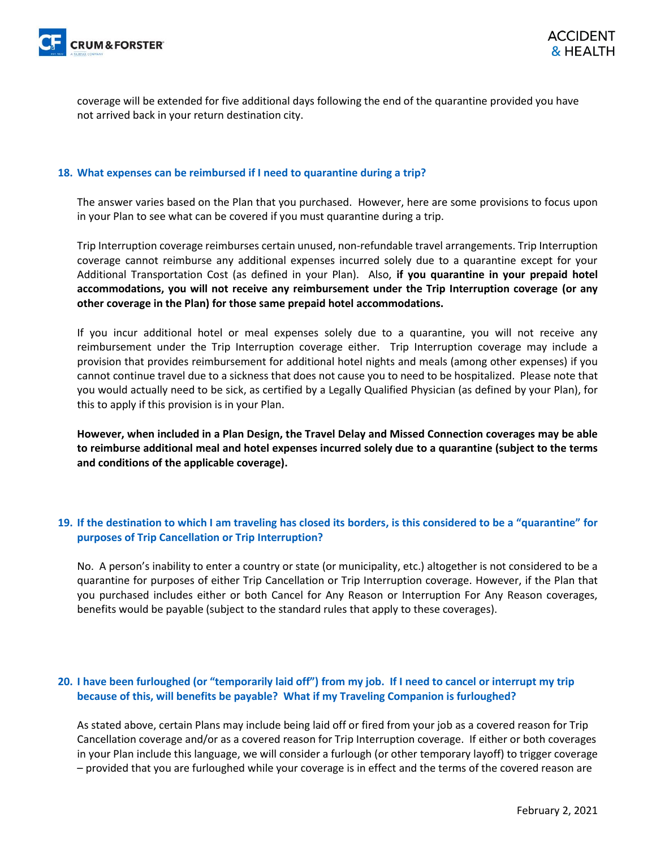

coverage will be extended for five additional days following the end of the quarantine provided you have not arrived back in your return destination city.

#### **18. What expenses can be reimbursed if I need to quarantine during a trip?**

The answer varies based on the Plan that you purchased. However, here are some provisions to focus upon in your Plan to see what can be covered if you must quarantine during a trip.

Trip Interruption coverage reimburses certain unused, non-refundable travel arrangements. Trip Interruption coverage cannot reimburse any additional expenses incurred solely due to a quarantine except for your Additional Transportation Cost (as defined in your Plan). Also, **if you quarantine in your prepaid hotel accommodations, you will not receive any reimbursement under the Trip Interruption coverage (or any other coverage in the Plan) for those same prepaid hotel accommodations.**

If you incur additional hotel or meal expenses solely due to a quarantine, you will not receive any reimbursement under the Trip Interruption coverage either. Trip Interruption coverage may include a provision that provides reimbursement for additional hotel nights and meals (among other expenses) if you cannot continue travel due to a sickness that does not cause you to need to be hospitalized. Please note that you would actually need to be sick, as certified by a Legally Qualified Physician (as defined by your Plan), for this to apply if this provision is in your Plan.

**However, when included in a Plan Design, the Travel Delay and Missed Connection coverages may be able to reimburse additional meal and hotel expenses incurred solely due to a quarantine (subject to the terms and conditions of the applicable coverage).** 

#### **19. If the destination to which I am traveling has closed its borders, is this considered to be a "quarantine" for purposes of Trip Cancellation or Trip Interruption?**

No. A person's inability to enter a country or state (or municipality, etc.) altogether is not considered to be a quarantine for purposes of either Trip Cancellation or Trip Interruption coverage. However, if the Plan that you purchased includes either or both Cancel for Any Reason or Interruption For Any Reason coverages, benefits would be payable (subject to the standard rules that apply to these coverages).

#### **20. I have been furloughed (or "temporarily laid off") from my job. If I need to cancel or interrupt my trip because of this, will benefits be payable? What if my Traveling Companion is furloughed?**

As stated above, certain Plans may include being laid off or fired from your job as a covered reason for Trip Cancellation coverage and/or as a covered reason for Trip Interruption coverage. If either or both coverages in your Plan include this language, we will consider a furlough (or other temporary layoff) to trigger coverage – provided that you are furloughed while your coverage is in effect and the terms of the covered reason are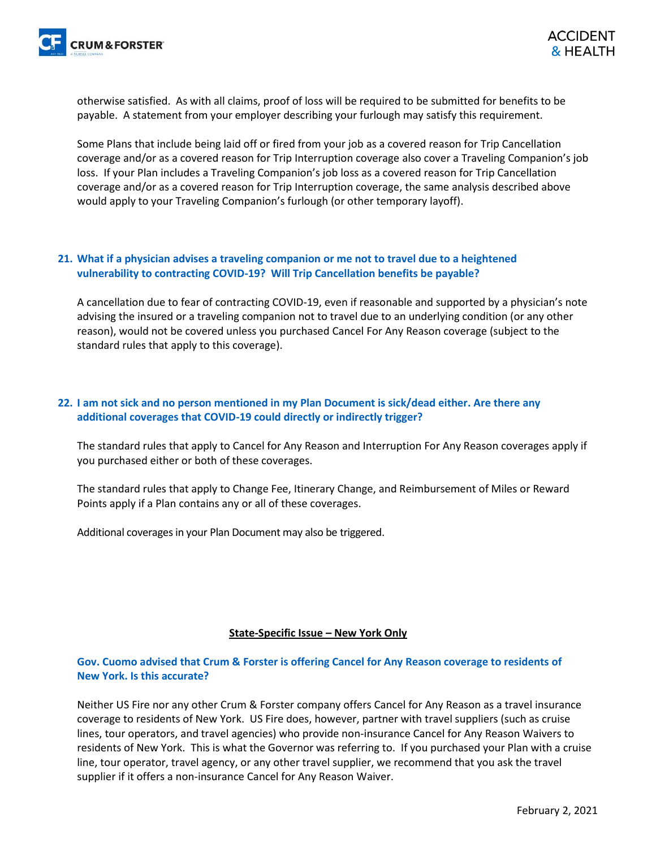otherwise satisfied. As with all claims, proof of loss will be required to be submitted for benefits to be payable. A statement from your employer describing your furlough may satisfy this requirement.

Some Plans that include being laid off or fired from your job as a covered reason for Trip Cancellation coverage and/or as a covered reason for Trip Interruption coverage also cover a Traveling Companion's job loss. If your Plan includes a Traveling Companion's job loss as a covered reason for Trip Cancellation coverage and/or as a covered reason for Trip Interruption coverage, the same analysis described above would apply to your Traveling Companion's furlough (or other temporary layoff).

#### **21. What if a physician advises a traveling companion or me not to travel due to a heightened vulnerability to contracting COVID-19? Will Trip Cancellation benefits be payable?**

A cancellation due to fear of contracting COVID-19, even if reasonable and supported by a physician's note advising the insured or a traveling companion not to travel due to an underlying condition (or any other reason), would not be covered unless you purchased Cancel For Any Reason coverage (subject to the standard rules that apply to this coverage).

#### **22. I am not sick and no person mentioned in my Plan Document is sick/dead either. Are there any additional coverages that COVID-19 could directly or indirectly trigger?**

The standard rules that apply to Cancel for Any Reason and Interruption For Any Reason coverages apply if you purchased either or both of these coverages.

The standard rules that apply to Change Fee, Itinerary Change, and Reimbursement of Miles or Reward Points apply if a Plan contains any or all of these coverages.

Additional coverages in your Plan Document may also be triggered.

#### **State-Specific Issue – New York Only**

#### **Gov. Cuomo advised that Crum & Forster is offering Cancel for Any Reason coverage to residents of New York. Is this accurate?**

Neither US Fire nor any other Crum & Forster company offers Cancel for Any Reason as a travel insurance coverage to residents of New York. US Fire does, however, partner with travel suppliers (such as cruise lines, tour operators, and travel agencies) who provide non-insurance Cancel for Any Reason Waivers to residents of New York. This is what the Governor was referring to. If you purchased your Plan with a cruise line, tour operator, travel agency, or any other travel supplier, we recommend that you ask the travel supplier if it offers a non-insurance Cancel for Any Reason Waiver.